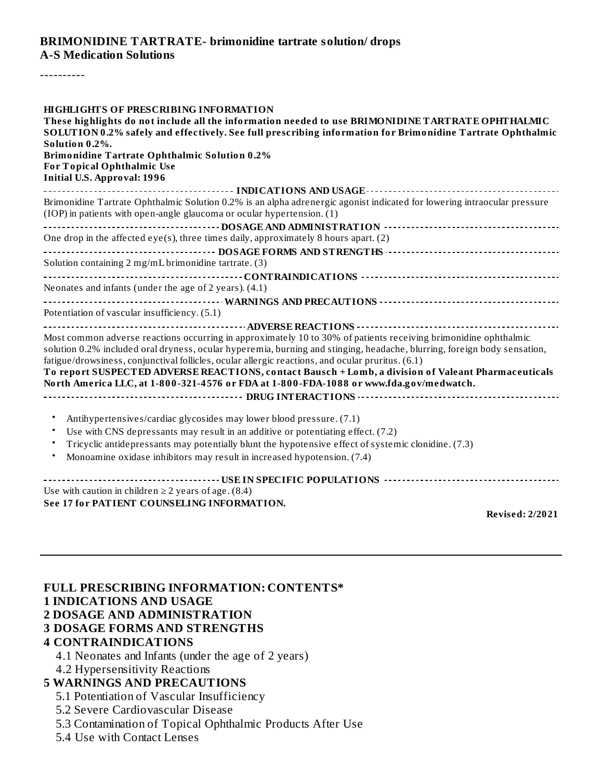## **BRIMONIDINE TARTRATE- brimonidine tartrate solution/ drops A-S Medication Solutions**

----------

| <b>HIGHLIGHTS OF PRESCRIBING INFORMATION</b>                                                                                                                                                                                                |  |  |  |  |  |  |  |
|---------------------------------------------------------------------------------------------------------------------------------------------------------------------------------------------------------------------------------------------|--|--|--|--|--|--|--|
| These highlights do not include all the information needed to use BRIMONIDINE TARTRATE OPHTHALMIC<br>SOLUTION 0.2% safely and effectively. See full prescribing information for Brimonidine Tartrate Ophthalmic<br>Solution 0.2%.           |  |  |  |  |  |  |  |
|                                                                                                                                                                                                                                             |  |  |  |  |  |  |  |
| <b>For Topical Ophthalmic Use</b><br><b>Initial U.S. Approval: 1996</b>                                                                                                                                                                     |  |  |  |  |  |  |  |
|                                                                                                                                                                                                                                             |  |  |  |  |  |  |  |
| Brimonidine Tartrate Ophthalmic Solution 0.2% is an alpha adrenergic agonist indicated for lowering intraocular pressure<br>(IOP) in patients with open-angle glaucoma or ocular hypertension. (1)                                          |  |  |  |  |  |  |  |
|                                                                                                                                                                                                                                             |  |  |  |  |  |  |  |
| One drop in the affected eye(s), three times daily, approximately 8 hours apart. (2)                                                                                                                                                        |  |  |  |  |  |  |  |
|                                                                                                                                                                                                                                             |  |  |  |  |  |  |  |
| Solution containing 2 mg/mL brimonidine tartrate. (3)                                                                                                                                                                                       |  |  |  |  |  |  |  |
|                                                                                                                                                                                                                                             |  |  |  |  |  |  |  |
| Neonates and infants (under the age of 2 years). (4.1)                                                                                                                                                                                      |  |  |  |  |  |  |  |
| Potentiation of vascular insufficiency. (5.1)                                                                                                                                                                                               |  |  |  |  |  |  |  |
|                                                                                                                                                                                                                                             |  |  |  |  |  |  |  |
| Most common adverse reactions occurring in approximately 10 to 30% of patients receiving brimonidine ophthalmic<br>solution 0.2% included oral dryness, ocular hyperemia, burning and stinging, headache, blurring, foreign body sensation, |  |  |  |  |  |  |  |
| fatigue/drowsiness, conjunctival follicles, ocular allergic reactions, and ocular pruritus. (6.1)<br>To report SUSPECTED ADVERSE REACTIONS, contact Bausch + Lomb, a division of Valeant Pharmaceuticals                                    |  |  |  |  |  |  |  |
| North America LLC, at 1-800-321-4576 or FDA at 1-800-FDA-1088 or www.fda.gov/medwatch.                                                                                                                                                      |  |  |  |  |  |  |  |
|                                                                                                                                                                                                                                             |  |  |  |  |  |  |  |
| Antihypertensives/cardiac glycosides may lower blood pressure. (7.1)<br>$\bullet$                                                                                                                                                           |  |  |  |  |  |  |  |
| Use with CNS depressants may result in an additive or potentiating effect. (7.2)<br>$\bullet$                                                                                                                                               |  |  |  |  |  |  |  |
| Tricyclic antidepressants may potentially blunt the hypotensive effect of systemic clonidine. (7.3)                                                                                                                                         |  |  |  |  |  |  |  |
| Monoamine oxidase inhibitors may result in increased hypotension. (7.4)                                                                                                                                                                     |  |  |  |  |  |  |  |
|                                                                                                                                                                                                                                             |  |  |  |  |  |  |  |
| Use with caution in children $\geq$ 2 years of age. (8.4)                                                                                                                                                                                   |  |  |  |  |  |  |  |
| See 17 for PATIENT COUNSELING INFORMATION.                                                                                                                                                                                                  |  |  |  |  |  |  |  |

**Revised: 2/2021**

| <b>FULL PRESCRIBING INFORMATION: CONTENTS*</b>      |
|-----------------------------------------------------|
| <b>1 INDICATIONS AND USAGE</b>                      |
| <b>2 DOSAGE AND ADMINISTRATION</b>                  |
| <b>3 DOSAGE FORMS AND STRENGTHS</b>                 |
| <b>4 CONTRAINDICATIONS</b>                          |
| 4.1 Neonates and Infants (under the age of 2 years) |
| 4.2 Hypersensitivity Reactions                      |
| <b>5 WARNINGS AND PRECAUTIONS</b>                   |

5.1 Potentiation of Vascular Insufficiency

5.2 Severe Cardiovascular Disease

5.3 Contamination of Topical Ophthalmic Products After Use

5.4 Use with Contact Lenses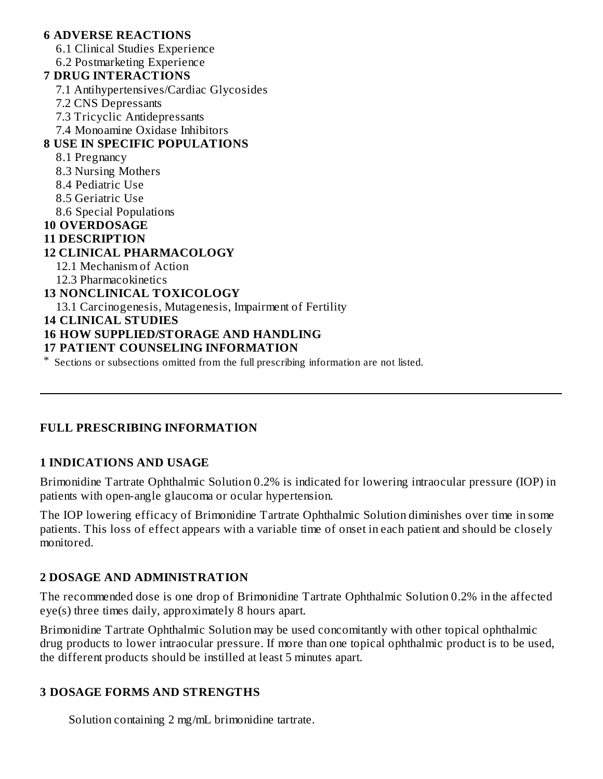#### **6 ADVERSE REACTIONS** 6.1 Clinical Studies Experience 6.2 Postmarketing Experience **7 DRUG INTERACTIONS** 7.1 Antihypertensives/Cardiac Glycosides 7.2 CNS Depressants 7.3 Tricyclic Antidepressants 7.4 Monoamine Oxidase Inhibitors **8 USE IN SPECIFIC POPULATIONS** 8.1 Pregnancy 8.3 Nursing Mothers 8.4 Pediatric Use 8.5 Geriatric Use 8.6 Special Populations **10 OVERDOSAGE 11 DESCRIPTION 12 CLINICAL PHARMACOLOGY** 12.1 Mechanism of Action 12.3 Pharmacokinetics **13 NONCLINICAL TOXICOLOGY** 13.1 Carcinogenesis, Mutagenesis, Impairment of Fertility **14 CLINICAL STUDIES 16 HOW SUPPLIED/STORAGE AND HANDLING 17 PATIENT COUNSELING INFORMATION**

\* Sections or subsections omitted from the full prescribing information are not listed.

#### **FULL PRESCRIBING INFORMATION**

#### **1 INDICATIONS AND USAGE**

Brimonidine Tartrate Ophthalmic Solution 0.2% is indicated for lowering intraocular pressure (IOP) in patients with open-angle glaucoma or ocular hypertension.

The IOP lowering efficacy of Brimonidine Tartrate Ophthalmic Solution diminishes over time in some patients. This loss of effect appears with a variable time of onset in each patient and should be closely monitored.

#### **2 DOSAGE AND ADMINISTRATION**

The recommended dose is one drop of Brimonidine Tartrate Ophthalmic Solution 0.2% in the affected eye(s) three times daily, approximately 8 hours apart.

Brimonidine Tartrate Ophthalmic Solution may be used concomitantly with other topical ophthalmic drug products to lower intraocular pressure. If more than one topical ophthalmic product is to be used, the different products should be instilled at least 5 minutes apart.

#### **3 DOSAGE FORMS AND STRENGTHS**

Solution containing 2 mg/mL brimonidine tartrate.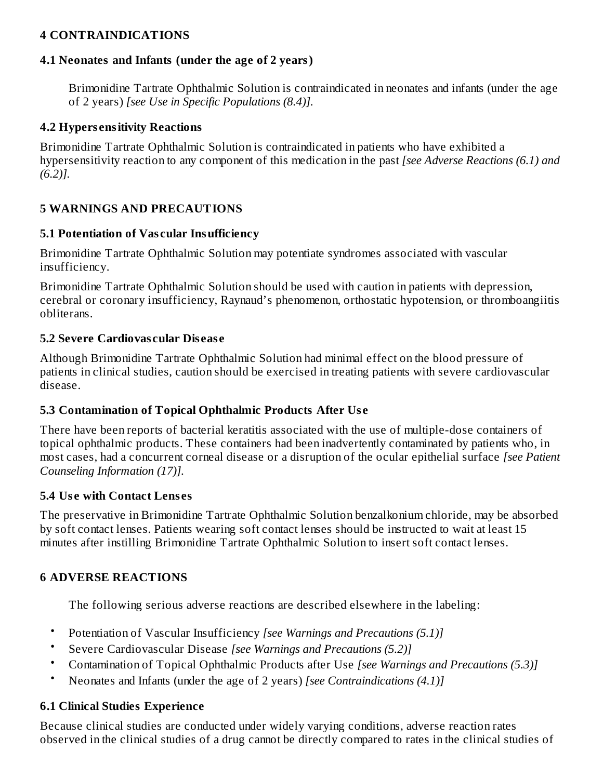#### **4 CONTRAINDICATIONS**

#### **4.1 Neonates and Infants (under the age of 2 years)**

Brimonidine Tartrate Ophthalmic Solution is contraindicated in neonates and infants (under the age of 2 years) *[see Use in Specific Populations (8.4)].*

#### **4.2 Hypers ensitivity Reactions**

Brimonidine Tartrate Ophthalmic Solution is contraindicated in patients who have exhibited a hypersensitivity reaction to any component of this medication in the past *[see Adverse Reactions (6.1) and (6.2)].*

#### **5 WARNINGS AND PRECAUTIONS**

#### **5.1 Potentiation of Vas cular Insufficiency**

Brimonidine Tartrate Ophthalmic Solution may potentiate syndromes associated with vascular insufficiency.

Brimonidine Tartrate Ophthalmic Solution should be used with caution in patients with depression, cerebral or coronary insufficiency, Raynaud's phenomenon, orthostatic hypotension, or thromboangiitis obliterans.

#### **5.2 Severe Cardiovas cular Dis eas e**

Although Brimonidine Tartrate Ophthalmic Solution had minimal effect on the blood pressure of patients in clinical studies, caution should be exercised in treating patients with severe cardiovascular disease.

#### **5.3 Contamination of Topical Ophthalmic Products After Us e**

There have been reports of bacterial keratitis associated with the use of multiple-dose containers of topical ophthalmic products. These containers had been inadvertently contaminated by patients who, in most cases, had a concurrent corneal disease or a disruption of the ocular epithelial surface *[see Patient Counseling Information (17)].*

#### **5.4 Us e with Contact Lens es**

The preservative in Brimonidine Tartrate Ophthalmic Solution benzalkonium chloride, may be absorbed by soft contact lenses. Patients wearing soft contact lenses should be instructed to wait at least 15 minutes after instilling Brimonidine Tartrate Ophthalmic Solution to insert soft contact lenses.

#### **6 ADVERSE REACTIONS**

The following serious adverse reactions are described elsewhere in the labeling:

- Potentiation of Vascular Insufficiency *[see Warnings and Precautions (5.1)]*
- Severe Cardiovascular Disease *[see Warnings and Precautions (5.2)]*
- Contamination of Topical Ophthalmic Products after Use *[see Warnings and Precautions (5.3)]*
- Neonates and Infants (under the age of 2 years) *[see Contraindications (4.1)]*

## **6.1 Clinical Studies Experience**

Because clinical studies are conducted under widely varying conditions, adverse reaction rates observed in the clinical studies of a drug cannot be directly compared to rates in the clinical studies of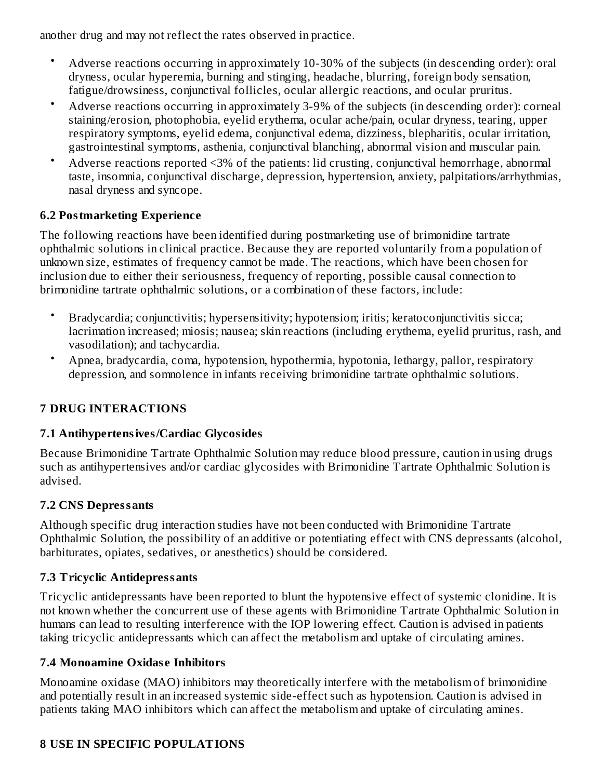another drug and may not reflect the rates observed in practice.

- Adverse reactions occurring in approximately 10-30% of the subjects (in descending order): oral dryness, ocular hyperemia, burning and stinging, headache, blurring, foreign body sensation, fatigue/drowsiness, conjunctival follicles, ocular allergic reactions, and ocular pruritus.
- Adverse reactions occurring in approximately 3-9% of the subjects (in descending order): corneal staining/erosion, photophobia, eyelid erythema, ocular ache/pain, ocular dryness, tearing, upper respiratory symptoms, eyelid edema, conjunctival edema, dizziness, blepharitis, ocular irritation, gastrointestinal symptoms, asthenia, conjunctival blanching, abnormal vision and muscular pain.
- Adverse reactions reported <3% of the patients: lid crusting, conjunctival hemorrhage, abnormal taste, insomnia, conjunctival discharge, depression, hypertension, anxiety, palpitations/arrhythmias, nasal dryness and syncope.

## **6.2 Postmarketing Experience**

The following reactions have been identified during postmarketing use of brimonidine tartrate ophthalmic solutions in clinical practice. Because they are reported voluntarily from a population of unknown size, estimates of frequency cannot be made. The reactions, which have been chosen for inclusion due to either their seriousness, frequency of reporting, possible causal connection to brimonidine tartrate ophthalmic solutions, or a combination of these factors, include:

- Bradycardia; conjunctivitis; hypersensitivity; hypotension; iritis; keratoconjunctivitis sicca; lacrimation increased; miosis; nausea; skin reactions (including erythema, eyelid pruritus, rash, and vasodilation); and tachycardia.
- Apnea, bradycardia, coma, hypotension, hypothermia, hypotonia, lethargy, pallor, respiratory depression, and somnolence in infants receiving brimonidine tartrate ophthalmic solutions.

## **7 DRUG INTERACTIONS**

#### **7.1 Antihypertensives/Cardiac Glycosides**

Because Brimonidine Tartrate Ophthalmic Solution may reduce blood pressure, caution in using drugs such as antihypertensives and/or cardiac glycosides with Brimonidine Tartrate Ophthalmic Solution is advised.

## **7.2 CNS Depressants**

Although specific drug interaction studies have not been conducted with Brimonidine Tartrate Ophthalmic Solution, the possibility of an additive or potentiating effect with CNS depressants (alcohol, barbiturates, opiates, sedatives, or anesthetics) should be considered.

## **7.3 Tricyclic Antidepressants**

Tricyclic antidepressants have been reported to blunt the hypotensive effect of systemic clonidine. It is not known whether the concurrent use of these agents with Brimonidine Tartrate Ophthalmic Solution in humans can lead to resulting interference with the IOP lowering effect. Caution is advised in patients taking tricyclic antidepressants which can affect the metabolism and uptake of circulating amines.

## **7.4 Monoamine Oxidas e Inhibitors**

Monoamine oxidase (MAO) inhibitors may theoretically interfere with the metabolism of brimonidine and potentially result in an increased systemic side-effect such as hypotension. Caution is advised in patients taking MAO inhibitors which can affect the metabolism and uptake of circulating amines.

## **8 USE IN SPECIFIC POPULATIONS**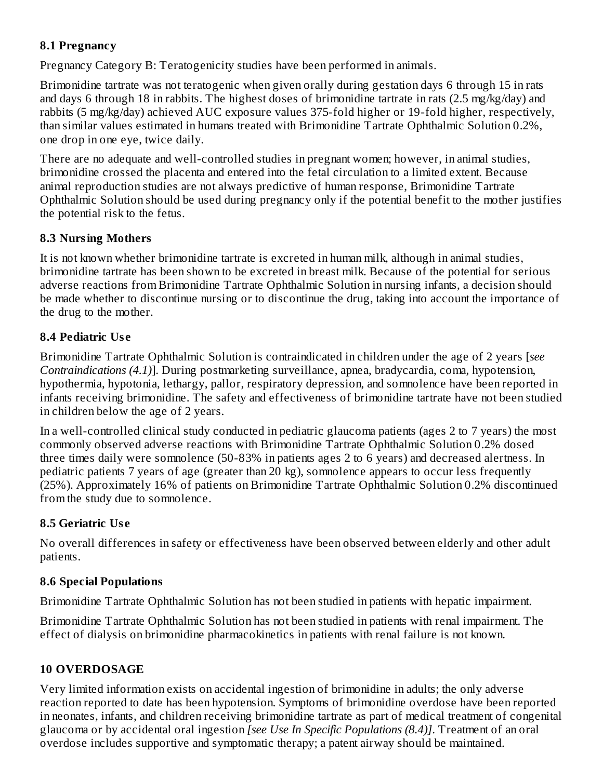#### **8.1 Pregnancy**

Pregnancy Category B: Teratogenicity studies have been performed in animals.

Brimonidine tartrate was not teratogenic when given orally during gestation days 6 through 15 in rats and days 6 through 18 in rabbits. The highest doses of brimonidine tartrate in rats (2.5 mg/kg/day) and rabbits (5 mg/kg/day) achieved AUC exposure values 375-fold higher or 19-fold higher, respectively, than similar values estimated in humans treated with Brimonidine Tartrate Ophthalmic Solution 0.2%, one drop in one eye, twice daily.

There are no adequate and well-controlled studies in pregnant women; however, in animal studies, brimonidine crossed the placenta and entered into the fetal circulation to a limited extent. Because animal reproduction studies are not always predictive of human response, Brimonidine Tartrate Ophthalmic Solution should be used during pregnancy only if the potential benefit to the mother justifies the potential risk to the fetus.

## **8.3 Nursing Mothers**

It is not known whether brimonidine tartrate is excreted in human milk, although in animal studies, brimonidine tartrate has been shown to be excreted in breast milk. Because of the potential for serious adverse reactions from Brimonidine Tartrate Ophthalmic Solution in nursing infants, a decision should be made whether to discontinue nursing or to discontinue the drug, taking into account the importance of the drug to the mother.

## **8.4 Pediatric Us e**

Brimonidine Tartrate Ophthalmic Solution is contraindicated in children under the age of 2 years [*see Contraindications (4.1)*]. During postmarketing surveillance, apnea, bradycardia, coma, hypotension, hypothermia, hypotonia, lethargy, pallor, respiratory depression, and somnolence have been reported in infants receiving brimonidine. The safety and effectiveness of brimonidine tartrate have not been studied in children below the age of 2 years.

In a well-controlled clinical study conducted in pediatric glaucoma patients (ages 2 to 7 years) the most commonly observed adverse reactions with Brimonidine Tartrate Ophthalmic Solution 0.2% dosed three times daily were somnolence (50-83% in patients ages 2 to 6 years) and decreased alertness. In pediatric patients 7 years of age (greater than 20 kg), somnolence appears to occur less frequently (25%). Approximately 16% of patients on Brimonidine Tartrate Ophthalmic Solution 0.2% discontinued from the study due to somnolence.

## **8.5 Geriatric Us e**

No overall differences in safety or effectiveness have been observed between elderly and other adult patients.

## **8.6 Special Populations**

Brimonidine Tartrate Ophthalmic Solution has not been studied in patients with hepatic impairment.

Brimonidine Tartrate Ophthalmic Solution has not been studied in patients with renal impairment. The effect of dialysis on brimonidine pharmacokinetics in patients with renal failure is not known.

## **10 OVERDOSAGE**

Very limited information exists on accidental ingestion of brimonidine in adults; the only adverse reaction reported to date has been hypotension. Symptoms of brimonidine overdose have been reported in neonates, infants, and children receiving brimonidine tartrate as part of medical treatment of congenital glaucoma or by accidental oral ingestion *[see Use In Specific Populations (8.4)]*. Treatment of an oral overdose includes supportive and symptomatic therapy; a patent airway should be maintained.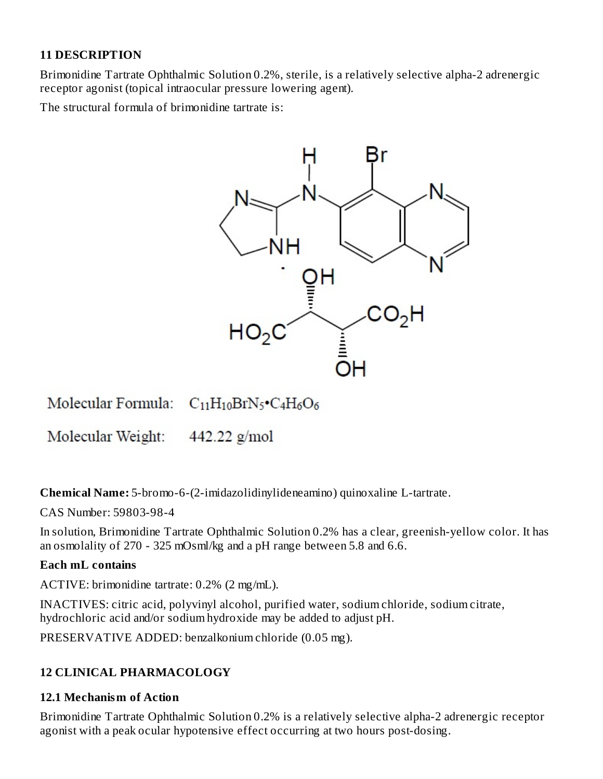## **11 DESCRIPTION**

Brimonidine Tartrate Ophthalmic Solution 0.2%, sterile, is a relatively selective alpha-2 adrenergic receptor agonist (topical intraocular pressure lowering agent).

The structural formula of brimonidine tartrate is:



Molecular Formula: C<sub>11</sub>H<sub>10</sub>BrN<sub>5</sub>•C<sub>4</sub>H<sub>6</sub>O<sub>6</sub>

Molecular Weight:  $442.22$  g/mol

**Chemical Name:** 5-bromo-6-(2-imidazolidinylideneamino) quinoxaline L-tartrate.

CAS Number: 59803-98-4

In solution, Brimonidine Tartrate Ophthalmic Solution 0.2% has a clear, greenish-yellow color. It has an osmolality of 270 - 325 mOsml/kg and a pH range between 5.8 and 6.6.

#### **Each mL contains**

ACTIVE: brimonidine tartrate: 0.2% (2 mg/mL).

INACTIVES: citric acid, polyvinyl alcohol, purified water, sodium chloride, sodium citrate, hydrochloric acid and/or sodium hydroxide may be added to adjust pH.

PRESERVATIVE ADDED: benzalkonium chloride (0.05 mg).

#### **12 CLINICAL PHARMACOLOGY**

#### **12.1 Mechanism of Action**

Brimonidine Tartrate Ophthalmic Solution 0.2% is a relatively selective alpha-2 adrenergic receptor agonist with a peak ocular hypotensive effect occurring at two hours post-dosing.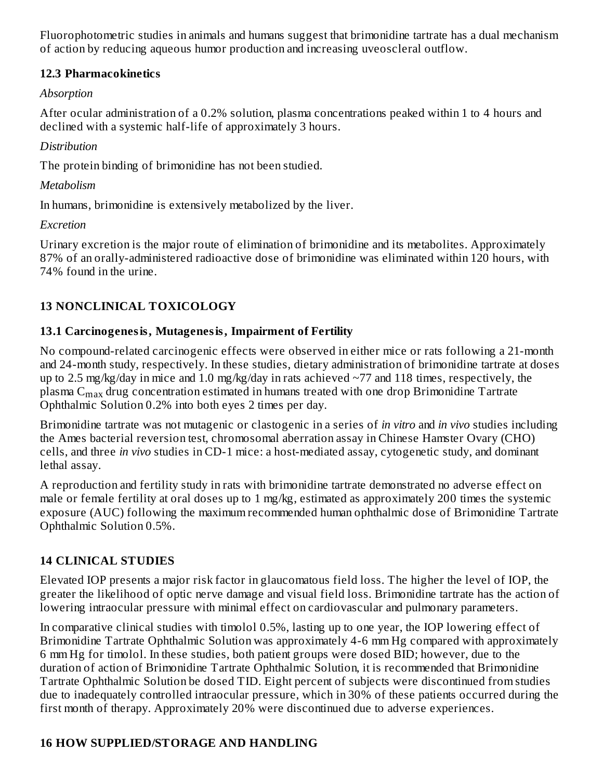Fluorophotometric studies in animals and humans suggest that brimonidine tartrate has a dual mechanism of action by reducing aqueous humor production and increasing uveoscleral outflow.

#### **12.3 Pharmacokinetics**

#### *Absorption*

After ocular administration of a 0.2% solution, plasma concentrations peaked within 1 to 4 hours and declined with a systemic half-life of approximately 3 hours.

## *Distribution*

The protein binding of brimonidine has not been studied.

## *Metabolism*

In humans, brimonidine is extensively metabolized by the liver.

## *Excretion*

Urinary excretion is the major route of elimination of brimonidine and its metabolites. Approximately 87% of an orally-administered radioactive dose of brimonidine was eliminated within 120 hours, with 74% found in the urine.

## **13 NONCLINICAL TOXICOLOGY**

## **13.1 Carcinogenesis, Mutagenesis, Impairment of Fertility**

No compound-related carcinogenic effects were observed in either mice or rats following a 21-month and 24-month study, respectively. In these studies, dietary administration of brimonidine tartrate at doses up to 2.5 mg/kg/day in mice and 1.0 mg/kg/day in rats achieved  $\sim$ 77 and 118 times, respectively, the plasma  $\rm{C_{max}}$  drug concentration estimated in humans treated with one drop Brimonidine Tartrate Ophthalmic Solution 0.2% into both eyes 2 times per day.

Brimonidine tartrate was not mutagenic or clastogenic in a series of *in vitro* and *in vivo* studies including the Ames bacterial reversion test, chromosomal aberration assay in Chinese Hamster Ovary (CHO) cells, and three *in vivo* studies in CD-1 mice: a host-mediated assay, cytogenetic study, and dominant lethal assay.

A reproduction and fertility study in rats with brimonidine tartrate demonstrated no adverse effect on male or female fertility at oral doses up to 1 mg/kg, estimated as approximately 200 times the systemic exposure (AUC) following the maximum recommended human ophthalmic dose of Brimonidine Tartrate Ophthalmic Solution 0.5%.

## **14 CLINICAL STUDIES**

Elevated IOP presents a major risk factor in glaucomatous field loss. The higher the level of IOP, the greater the likelihood of optic nerve damage and visual field loss. Brimonidine tartrate has the action of lowering intraocular pressure with minimal effect on cardiovascular and pulmonary parameters.

In comparative clinical studies with timolol 0.5%, lasting up to one year, the IOP lowering effect of Brimonidine Tartrate Ophthalmic Solution was approximately 4-6 mm Hg compared with approximately 6 mm Hg for timolol. In these studies, both patient groups were dosed BID; however, due to the duration of action of Brimonidine Tartrate Ophthalmic Solution, it is recommended that Brimonidine Tartrate Ophthalmic Solution be dosed TID. Eight percent of subjects were discontinued from studies due to inadequately controlled intraocular pressure, which in 30% of these patients occurred during the first month of therapy. Approximately 20% were discontinued due to adverse experiences.

## **16 HOW SUPPLIED/STORAGE AND HANDLING**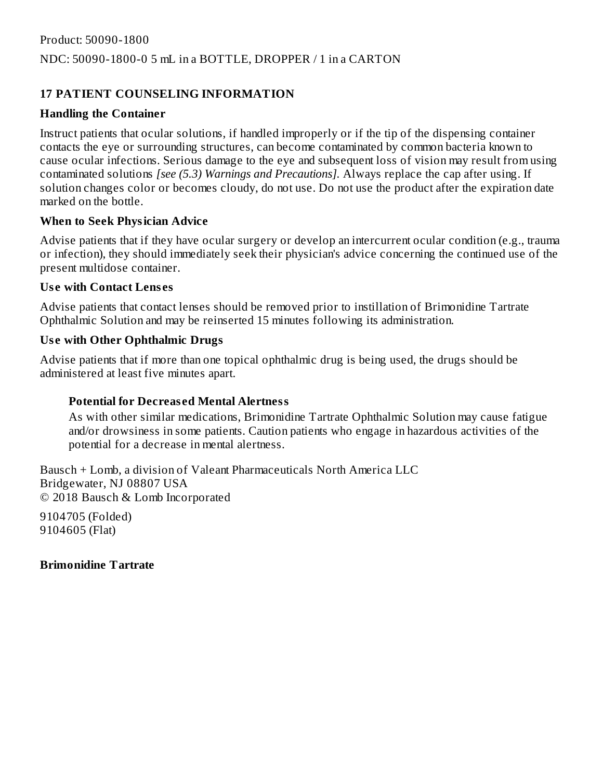## **17 PATIENT COUNSELING INFORMATION**

#### **Handling the Container**

Instruct patients that ocular solutions, if handled improperly or if the tip of the dispensing container contacts the eye or surrounding structures, can become contaminated by common bacteria known to cause ocular infections. Serious damage to the eye and subsequent loss of vision may result from using contaminated solutions *[see (5.3) Warnings and Precautions].* Always replace the cap after using. If solution changes color or becomes cloudy, do not use. Do not use the product after the expiration date marked on the bottle.

## **When to Seek Physician Advice**

Advise patients that if they have ocular surgery or develop an intercurrent ocular condition (e.g., trauma or infection), they should immediately seek their physician's advice concerning the continued use of the present multidose container.

#### **Us e with Contact Lens es**

Advise patients that contact lenses should be removed prior to instillation of Brimonidine Tartrate Ophthalmic Solution and may be reinserted 15 minutes following its administration.

## **Us e with Other Ophthalmic Drugs**

Advise patients that if more than one topical ophthalmic drug is being used, the drugs should be administered at least five minutes apart.

## **Potential for Decreas ed Mental Alertness**

As with other similar medications, Brimonidine Tartrate Ophthalmic Solution may cause fatigue and/or drowsiness in some patients. Caution patients who engage in hazardous activities of the potential for a decrease in mental alertness.

Bausch + Lomb, a division of Valeant Pharmaceuticals North America LLC Bridgewater, NJ 08807 USA © 2018 Bausch & Lomb Incorporated

9104705 (Folded) 9104605 (Flat)

#### **Brimonidine Tartrate**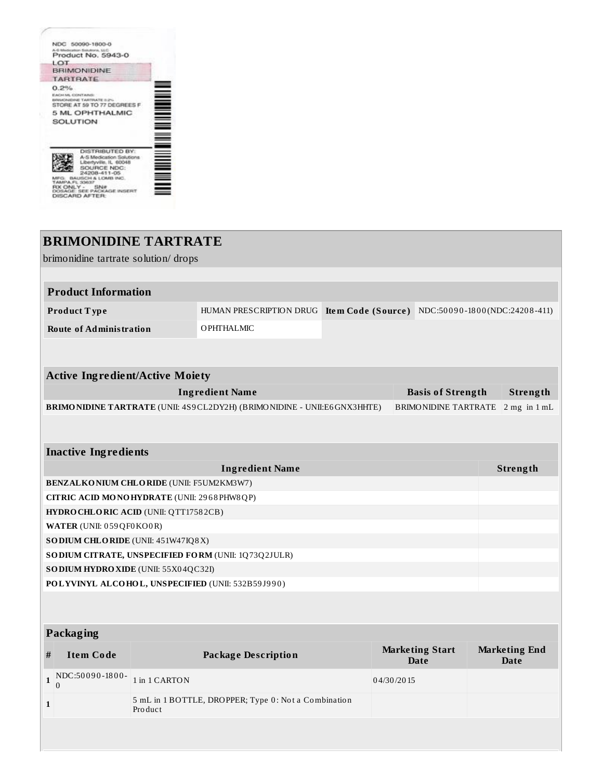|                        | NDC 50090-1800-0                                                                                                                                                              |  |
|------------------------|-------------------------------------------------------------------------------------------------------------------------------------------------------------------------------|--|
|                        | A-5 Medication Satultons, LLC<br>Product No. 5943-0                                                                                                                           |  |
| LOT                    |                                                                                                                                                                               |  |
|                        | <b>BRIMONIDINE</b>                                                                                                                                                            |  |
|                        | <b>TARTRATE</b>                                                                                                                                                               |  |
| 0.2%<br>EACHIM CONTAIN | <b>WANDAILING TAINTINATE ILE</b><br>STORE AT 59 TO 77 DEGREES F.<br>5 ML OPHTHALMIC<br><b>SOLUTION</b>                                                                        |  |
|                        | <b>DISTRIBUTED BY:</b><br>A-S Medication Solutions<br>Libertyville, IL 60048<br>SOURCE NDC:<br>24208-411-05<br>AUSSCHLALL CARD INC.<br><b>MOKADE</b><br><b>DISCARD AFTER:</b> |  |

## **BRIMONIDINE TARTRATE** brimonidine tartrate solution/ drops **Product Information Product T ype** HUMAN PRESCRIPTION DRUG **Ite m Code (Source )** NDC:50 0 9 0 -18 0 0 (NDC:2420 8 -411) **Route of Administration** OPHTHALMIC **Active Ingredient/Active Moiety Ingredient Name Basis of Strength Strength BRIMONIDINE TARTRATE** (UNII: 4S9CL2DY2H) (BRIMONIDINE - UNII:E6GNX3HHTE) BRIMONIDINE TARTRATE 2 mg in 1 mL **Inactive Ingredients Ingredient Name Strength BENZALKONIUM CHLORIDE** (UNII: F5UM2KM3W7) **CITRIC ACID MONOHYDRATE** (UNII: 29 6 8 PHW8QP) **HYDROCHLORIC ACID** (UNII: QTT1758 2CB) **WATER** (UNII: 0 59QF0KO0R) **SODIUM CHLORIDE** (UNII: 451W47IQ8X) **SODIUM CITRATE, UNSPECIFIED FORM** (UNII: 1Q73Q2JULR) **SODIUM HYDROXIDE** (UNII: 55X0 4QC32I) **POLYVINYL ALCOHOL, UNSPECIFIED** (UNII: 532B59 J9 9 0 ) **Packaging # Item Code Package Description Marketing Start Date Marketing End Date**  $1 \big|_{0}^{NDC:50090-1800}$ 0 1 in 1 CARTON 04/30/2015 **1** 5 mL in 1 BOTTLE, DROPPER; Type 0: Not a Combination Pro duct